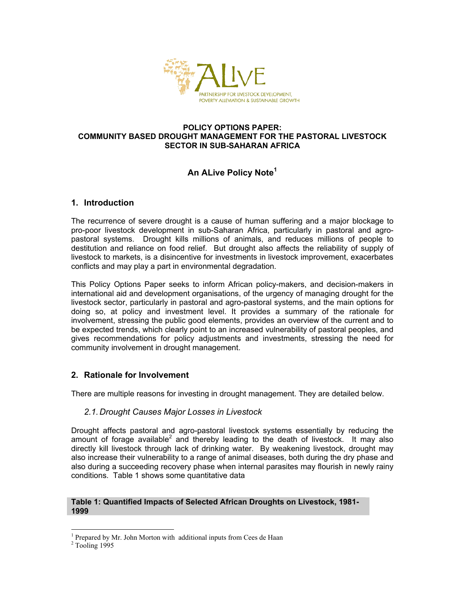

#### **POLICY OPTIONS PAPER: COMMUNITY BASED DROUGHT MANAGEMENT FOR THE PASTORAL LIVESTOCK SECTOR IN SUB-SAHARAN AFRICA**

# **An ALive Policy Note1**

# **1. Introduction**

The recurrence of severe drought is a cause of human suffering and a major blockage to pro-poor livestock development in sub-Saharan Africa, particularly in pastoral and agropastoral systems. Drought kills millions of animals, and reduces millions of people to destitution and reliance on food relief. But drought also affects the reliability of supply of livestock to markets, is a disincentive for investments in livestock improvement, exacerbates conflicts and may play a part in environmental degradation.

This Policy Options Paper seeks to inform African policy-makers, and decision-makers in international aid and development organisations, of the urgency of managing drought for the livestock sector, particularly in pastoral and agro-pastoral systems, and the main options for doing so, at policy and investment level. It provides a summary of the rationale for involvement, stressing the public good elements, provides an overview of the current and to be expected trends, which clearly point to an increased vulnerability of pastoral peoples, and gives recommendations for policy adjustments and investments, stressing the need for community involvement in drought management.

# **2. Rationale for Involvement**

There are multiple reasons for investing in drought management. They are detailed below.

### *2.1. Drought Causes Major Losses in Livestock*

Drought affects pastoral and agro-pastoral livestock systems essentially by reducing the amount of forage available<sup>2</sup> and thereby leading to the death of livestock. It may also directly kill livestock through lack of drinking water. By weakening livestock, drought may also increase their vulnerability to a range of animal diseases, both during the dry phase and also during a succeeding recovery phase when internal parasites may flourish in newly rainy conditions. Table 1 shows some quantitative data

#### **Table 1: Quantified Impacts of Selected African Droughts on Livestock, 1981- 1999**

<sup>&</sup>lt;sup>1</sup> Prepared by Mr. John Morton with additional inputs from Cees de Haan  $2^2$  Tooling 1005

 $2$  Tooling 1995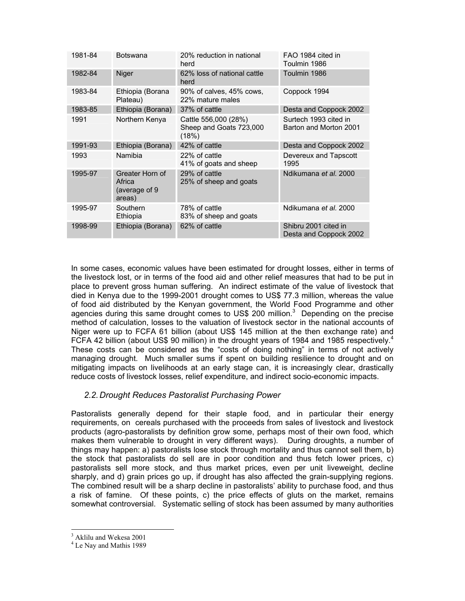| 1981-84 | <b>Botswana</b>                                       | 20% reduction in national<br>herd                        | FAO 1984 cited in<br>Toulmin 1986               |
|---------|-------------------------------------------------------|----------------------------------------------------------|-------------------------------------------------|
| 1982-84 | Niger                                                 | 62% loss of national cattle<br>herd                      | Toulmin 1986                                    |
| 1983-84 | Ethiopia (Borana<br>Plateau)                          | 90% of calves, 45% cows,<br>22% mature males             | Coppock 1994                                    |
| 1983-85 | Ethiopia (Borana)                                     | 37% of cattle                                            | Desta and Coppock 2002                          |
| 1991    | Northern Kenya                                        | Cattle 556,000 (28%)<br>Sheep and Goats 723,000<br>(18%) | Surtech 1993 cited in<br>Barton and Morton 2001 |
| 1991-93 | Ethiopia (Borana)                                     | 42% of cattle                                            | Desta and Coppock 2002                          |
| 1993    | Namibia                                               | 22% of cattle<br>41% of goats and sheep                  | Devereux and Tapscott<br>1995                   |
| 1995-97 | Greater Horn of<br>Africa<br>(average of 9)<br>areas) | 29% of cattle<br>25% of sheep and goats                  | Ndikumana et al. 2000                           |
| 1995-97 | Southern<br>Ethiopia                                  | 78% of cattle<br>83% of sheep and goats                  | Ndikumana et al. 2000                           |
| 1998-99 | Ethiopia (Borana)                                     | 62% of cattle                                            | Shibru 2001 cited in<br>Desta and Coppock 2002  |

In some cases, economic values have been estimated for drought losses, either in terms of the livestock lost, or in terms of the food aid and other relief measures that had to be put in place to prevent gross human suffering. An indirect estimate of the value of livestock that died in Kenya due to the 1999-2001 drought comes to US\$ 77.3 million, whereas the value of food aid distributed by the Kenyan government, the World Food Programme and other agencies during this same drought comes to US\$ 200 million. $3$  Depending on the precise method of calculation, losses to the valuation of livestock sector in the national accounts of Niger were up to FCFA 61 billion (about US\$ 145 million at the then exchange rate) and FCFA 42 billion (about US\$ 90 million) in the drought years of 1984 and 1985 respectively.<sup>4</sup> These costs can be considered as the "costs of doing nothing" in terms of not actively managing drought. Much smaller sums if spent on building resilience to drought and on mitigating impacts on livelihoods at an early stage can, it is increasingly clear, drastically reduce costs of livestock losses, relief expenditure, and indirect socio-economic impacts.

# *2.2. Drought Reduces Pastoralist Purchasing Power*

Pastoralists generally depend for their staple food, and in particular their energy requirements, on cereals purchased with the proceeds from sales of livestock and livestock products (agro-pastoralists by definition grow some, perhaps most of their own food, which makes them vulnerable to drought in very different ways). During droughts, a number of things may happen: a) pastoralists lose stock through mortality and thus cannot sell them, b) the stock that pastoralists do sell are in poor condition and thus fetch lower prices, c) pastoralists sell more stock, and thus market prices, even per unit liveweight, decline sharply, and d) grain prices go up, if drought has also affected the grain-supplying regions. The combined result will be a sharp decline in pastoralists' ability to purchase food, and thus a risk of famine. Of these points, c) the price effects of gluts on the market, remains somewhat controversial. Systematic selling of stock has been assumed by many authorities

<sup>&</sup>lt;sup>3</sup> Aklilu and Wekesa 2001

<sup>&</sup>lt;sup>4</sup> Le Nay and Mathis 1989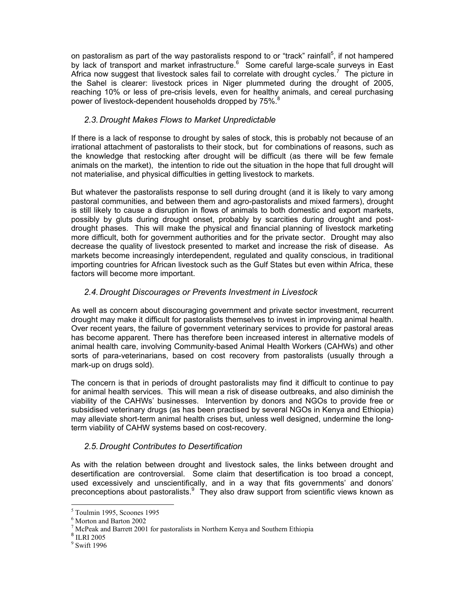on pastoralism as part of the way pastoralists respond to or "track" rainfall<sup>5</sup>, if not hampered by lack of transport and market infrastructure.<sup>6</sup> Some careful large-scale surveys in East Africa now suggest that livestock sales fail to correlate with drought cycles.<sup>7</sup> The picture in the Sahel is clearer: livestock prices in Niger plummeted during the drought of 2005, reaching 10% or less of pre-crisis levels, even for healthy animals, and cereal purchasing power of livestock-dependent households dropped by 75%.<sup>8</sup>

# *2.3. Drought Makes Flows to Market Unpredictable*

If there is a lack of response to drought by sales of stock, this is probably not because of an irrational attachment of pastoralists to their stock, but for combinations of reasons, such as the knowledge that restocking after drought will be difficult (as there will be few female animals on the market), the intention to ride out the situation in the hope that full drought will not materialise, and physical difficulties in getting livestock to markets.

But whatever the pastoralists response to sell during drought (and it is likely to vary among pastoral communities, and between them and agro-pastoralists and mixed farmers), drought is still likely to cause a disruption in flows of animals to both domestic and export markets, possibly by gluts during drought onset, probably by scarcities during drought and postdrought phases. This will make the physical and financial planning of livestock marketing more difficult, both for government authorities and for the private sector. Drought may also decrease the quality of livestock presented to market and increase the risk of disease. As markets become increasingly interdependent, regulated and quality conscious, in traditional importing countries for African livestock such as the Gulf States but even within Africa, these factors will become more important.

# *2.4. Drought Discourages or Prevents Investment in Livestock*

As well as concern about discouraging government and private sector investment, recurrent drought may make it difficult for pastoralists themselves to invest in improving animal health. Over recent years, the failure of government veterinary services to provide for pastoral areas has become apparent. There has therefore been increased interest in alternative models of animal health care, involving Community-based Animal Health Workers (CAHWs) and other sorts of para-veterinarians, based on cost recovery from pastoralists (usually through a mark-up on drugs sold).

The concern is that in periods of drought pastoralists may find it difficult to continue to pay for animal health services. This will mean a risk of disease outbreaks, and also diminish the viability of the CAHWs' businesses. Intervention by donors and NGOs to provide free or subsidised veterinary drugs (as has been practised by several NGOs in Kenya and Ethiopia) may alleviate short-term animal health crises but, unless well designed, undermine the longterm viability of CAHW systems based on cost-recovery.

# *2.5. Drought Contributes to Desertification*

As with the relation between drought and livestock sales, the links between drought and desertification are controversial. Some claim that desertification is too broad a concept, used excessively and unscientifically, and in a way that fits governments' and donors' preconceptions about pastoralists.<sup>9</sup> They also draw support from scientific views known as

<sup>5</sup> Toulmin 1995, Scoones 1995

<sup>6</sup> Morton and Barton 2002

 $7$  McPeak and Barrett 2001 for pastoralists in Northern Kenya and Southern Ethiopia

<sup>8</sup> ILRI 2005

<sup>9</sup> Swift 1996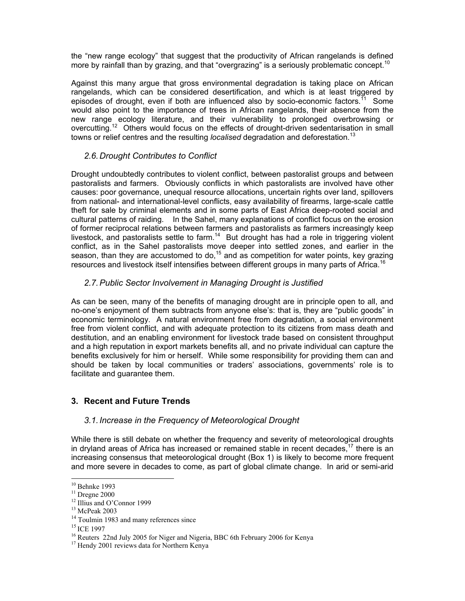the "new range ecology" that suggest that the productivity of African rangelands is defined more by rainfall than by grazing, and that "overgrazing" is a seriously problematic concept.<sup>10</sup>

Against this many argue that gross environmental degradation is taking place on African rangelands, which can be considered desertification, and which is at least triggered by episodes of drought, even if both are influenced also by socio-economic factors.<sup>11</sup> Some would also point to the importance of trees in African rangelands, their absence from the new range ecology literature, and their vulnerability to prolonged overbrowsing or overcutting.<sup>12</sup> Others would focus on the effects of drought-driven sedentarisation in small towns or relief centres and the resulting *localised* degradation and deforestation.<sup>13</sup>

# *2.6. Drought Contributes to Conflict*

Drought undoubtedly contributes to violent conflict, between pastoralist groups and between pastoralists and farmers. Obviously conflicts in which pastoralists are involved have other causes: poor governance, unequal resource allocations, uncertain rights over land, spillovers from national- and international-level conflicts, easy availability of firearms, large-scale cattle theft for sale by criminal elements and in some parts of East Africa deep-rooted social and cultural patterns of raiding. In the Sahel, many explanations of conflict focus on the erosion of former reciprocal relations between farmers and pastoralists as farmers increasingly keep livestock, and pastoralists settle to farm.<sup>14</sup> But drought has had a role in triggering violent conflict, as in the Sahel pastoralists move deeper into settled zones, and earlier in the season, than they are accustomed to do,<sup>15</sup> and as competition for water points, key grazing resources and livestock itself intensifies between different groups in many parts of Africa.<sup>16</sup>

# *2.7. Public Sector Involvement in Managing Drought is Justified*

As can be seen, many of the benefits of managing drought are in principle open to all, and no-one's enjoyment of them subtracts from anyone else's: that is, they are "public goods" in economic terminology. A natural environment free from degradation, a social environment free from violent conflict, and with adequate protection to its citizens from mass death and destitution, and an enabling environment for livestock trade based on consistent throughput and a high reputation in export markets benefits all, and no private individual can capture the benefits exclusively for him or herself. While some responsibility for providing them can and should be taken by local communities or traders' associations, governments' role is to facilitate and guarantee them.

### **3. Recent and Future Trends**

### *3.1. Increase in the Frequency of Meteorological Drought*

While there is still debate on whether the frequency and severity of meteorological droughts in dryland areas of Africa has increased or remained stable in recent decades,<sup>17</sup> there is an increasing consensus that meteorological drought (Box 1) is likely to become more frequent and more severe in decades to come, as part of global climate change. In arid or semi-arid

<sup>10</sup> Behnke 1993

 $11$  Dregne 2000

<sup>&</sup>lt;sup>12</sup> Illius and O'Connor 1999

<sup>13</sup> McPeak 2003

 $14$  Toulmin 1983 and many references since  $15$  ICE 1997

 $16$  Reuters 22nd July 2005 for Niger and Nigeria, BBC 6th February 2006 for Kenya

<sup>&</sup>lt;sup>17</sup> Hendy 2001 reviews data for Northern Kenya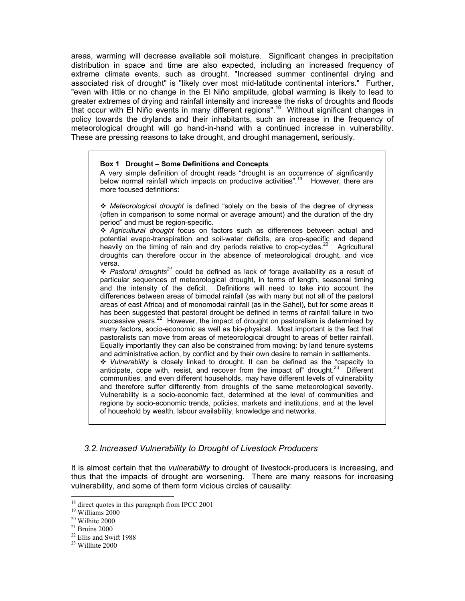areas, warming will decrease available soil moisture. Significant changes in precipitation distribution in space and time are also expected, including an increased frequency of extreme climate events, such as drought. "Increased summer continental drying and associated risk of drought" is "likely over most mid-latitude continental interiors." Further, "even with little or no change in the El Niño amplitude, global warming is likely to lead to greater extremes of drying and rainfall intensity and increase the risks of droughts and floods that occur with El Niño events in many different regions".18 Without significant changes in policy towards the drylands and their inhabitants, such an increase in the frequency of meteorological drought will go hand-in-hand with a continued increase in vulnerability. These are pressing reasons to take drought, and drought management, seriously.

#### **Box 1 Drought – Some Definitions and Concepts**

A very simple definition of drought reads "drought is an occurrence of significantly below normal rainfall which impacts on productive activities".<sup>19</sup> However, there are more focused definitions:

 *Meteorological drought* is defined "solely on the basis of the degree of dryness (often in comparison to some normal or average amount) and the duration of the dry period" and must be region-specific.

 *Agricultural drought* focus on factors such as differences between actual and potential evapo-transpiration and soil-water deficits, are crop-specific and depend heavily on the timing of rain and dry periods relative to crop-cycles.<sup>20</sup> Agricultural droughts can therefore occur in the absence of meteorological drought, and vice versa.

 *Pastoral droughts<sup>21</sup>* could be defined as lack of forage availability as a result of particular sequences of meteorological drought, in terms of length, seasonal timing and the intensity of the deficit. Definitions will need to take into account the differences between areas of bimodal rainfall (as with many but not all of the pastoral areas of east Africa) and of monomodal rainfall (as in the Sahel), but for some areas it has been suggested that pastoral drought be defined in terms of rainfall failure in two successive years.<sup>22</sup> However, the impact of drought on pastoralism is determined by many factors, socio-economic as well as bio-physical. Most important is the fact that pastoralists can move from areas of meteorological drought to areas of better rainfall. Equally importantly they can also be constrained from moving: by land tenure systems and administrative action, by conflict and by their own desire to remain in settlements. *Vulnerability* is closely linked to drought. It can be defined as the "capacity to anticipate, cope with, resist, and recover from the impact of" drought. $23$  Different communities, and even different households, may have different levels of vulnerability and therefore suffer differently from droughts of the same meteorological severity. Vulnerability is a socio-economic fact, determined at the level of communities and regions by socio-economic trends, policies, markets and institutions, and at the level of household by wealth, labour availability, knowledge and networks.

### *3.2. Increased Vulnerability to Drought of Livestock Producers*

It is almost certain that the *vulnerability* to drought of livestock-producers is increasing, and thus that the impacts of drought are worsening. There are many reasons for increasing vulnerability, and some of them form vicious circles of causality:

 $18$  direct quotes in this paragraph from IPCC 2001

<sup>19</sup> Williams 2000

<sup>20</sup> Wilhite 2000

 $^{\mathrm{21}}$  Bruins 2000

<sup>22</sup> Ellis and Swift 1988

 $23$  Willhite 2000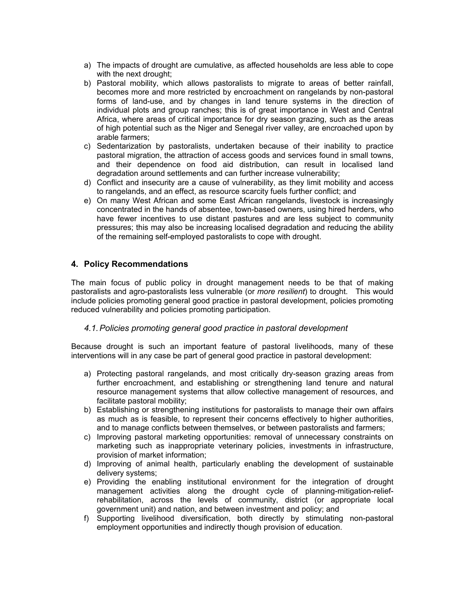- a) The impacts of drought are cumulative, as affected households are less able to cope with the next drought;
- b) Pastoral mobility, which allows pastoralists to migrate to areas of better rainfall, becomes more and more restricted by encroachment on rangelands by non-pastoral forms of land-use, and by changes in land tenure systems in the direction of individual plots and group ranches; this is of great importance in West and Central Africa, where areas of critical importance for dry season grazing, such as the areas of high potential such as the Niger and Senegal river valley, are encroached upon by arable farmers;
- c) Sedentarization by pastoralists, undertaken because of their inability to practice pastoral migration, the attraction of access goods and services found in small towns, and their dependence on food aid distribution, can result in localised land degradation around settlements and can further increase vulnerability;
- d) Conflict and insecurity are a cause of vulnerability, as they limit mobility and access to rangelands, and an effect, as resource scarcity fuels further conflict; and
- e) On many West African and some East African rangelands, livestock is increasingly concentrated in the hands of absentee, town-based owners, using hired herders, who have fewer incentives to use distant pastures and are less subject to community pressures; this may also be increasing localised degradation and reducing the ability of the remaining self-employed pastoralists to cope with drought.

### **4. Policy Recommendations**

The main focus of public policy in drought management needs to be that of making pastoralists and agro-pastoralists less vulnerable (or *more resilient*) to drought. This would include policies promoting general good practice in pastoral development, policies promoting reduced vulnerability and policies promoting participation.

### *4.1. Policies promoting general good practice in pastoral development*

Because drought is such an important feature of pastoral livelihoods, many of these interventions will in any case be part of general good practice in pastoral development:

- a) Protecting pastoral rangelands, and most critically dry-season grazing areas from further encroachment, and establishing or strengthening land tenure and natural resource management systems that allow collective management of resources, and facilitate pastoral mobility;
- b) Establishing or strengthening institutions for pastoralists to manage their own affairs as much as is feasible, to represent their concerns effectively to higher authorities, and to manage conflicts between themselves, or between pastoralists and farmers;
- c) Improving pastoral marketing opportunities: removal of unnecessary constraints on marketing such as inappropriate veterinary policies, investments in infrastructure, provision of market information;
- d) Improving of animal health, particularly enabling the development of sustainable delivery systems;
- e) Providing the enabling institutional environment for the integration of drought management activities along the drought cycle of planning-mitigation-reliefrehabilitation, across the levels of community, district (or appropriate local government unit) and nation, and between investment and policy; and
- f) Supporting livelihood diversification, both directly by stimulating non-pastoral employment opportunities and indirectly though provision of education.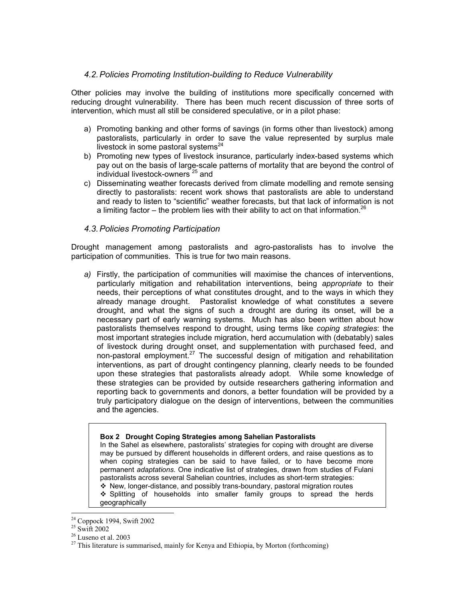### *4.2. Policies Promoting Institution-building to Reduce Vulnerability*

Other policies may involve the building of institutions more specifically concerned with reducing drought vulnerability. There has been much recent discussion of three sorts of intervention, which must all still be considered speculative, or in a pilot phase:

- a) Promoting banking and other forms of savings (in forms other than livestock) among pastoralists, particularly in order to save the value represented by surplus male livestock in some pastoral systems $^{24}$
- b) Promoting new types of livestock insurance, particularly index-based systems which pay out on the basis of large-scale patterns of mortality that are beyond the control of individual livestock-owners 25 and
- c) Disseminating weather forecasts derived from climate modelling and remote sensing directly to pastoralists: recent work shows that pastoralists are able to understand and ready to listen to "scientific" weather forecasts, but that lack of information is not a limiting factor – the problem lies with their ability to act on that information.<sup>26</sup>

### *4.3. Policies Promoting Participation*

Drought management among pastoralists and agro-pastoralists has to involve the participation of communities. This is true for two main reasons.

*a)* Firstly, the participation of communities will maximise the chances of interventions, particularly mitigation and rehabilitation interventions, being *appropriate* to their needs, their perceptions of what constitutes drought, and to the ways in which they already manage drought. Pastoralist knowledge of what constitutes a severe drought, and what the signs of such a drought are during its onset, will be a necessary part of early warning systems. Much has also been written about how pastoralists themselves respond to drought, using terms like *coping strategies*: the most important strategies include migration, herd accumulation with (debatably) sales of livestock during drought onset, and supplementation with purchased feed, and non-pastoral employment.<sup>27</sup> The successful design of mitigation and rehabilitation interventions, as part of drought contingency planning, clearly needs to be founded upon these strategies that pastoralists already adopt. While some knowledge of these strategies can be provided by outside researchers gathering information and reporting back to governments and donors, a better foundation will be provided by a truly participatory dialogue on the design of interventions, between the communities and the agencies.

#### **Box 2 Drought Coping Strategies among Sahelian Pastoralists**

In the Sahel as elsewhere, pastoralists' strategies for coping with drought are diverse may be pursued by different households in different orders, and raise questions as to when coping strategies can be said to have failed, or to have become more permanent *adaptations.* One indicative list of strategies, drawn from studies of Fulani pastoralists across several Sahelian countries, includes as short-term strategies:  $\cdot$  New, longer-distance, and possibly trans-boundary, pastoral migration routes

 $\div$  Splitting of households into smaller family groups to spread the herds geographically

<sup>-</sup><sup>24</sup> Coppock 1994, Swift 2002

 $25 \text{ Swift} 2002$ 

<sup>26</sup> Luseno et al. 2003

 $27$  This literature is summarised, mainly for Kenya and Ethiopia, by Morton (forthcoming)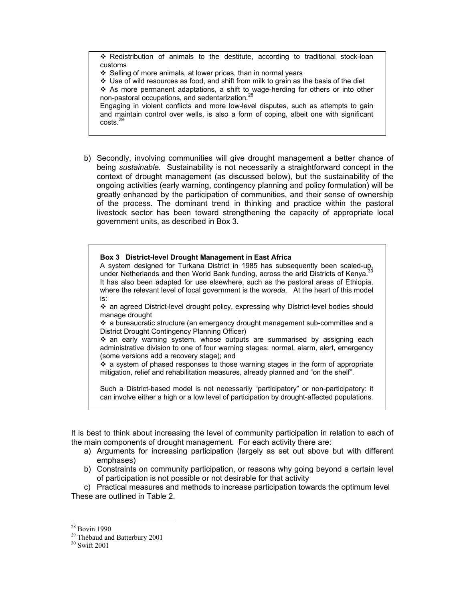$\div$  Redistribution of animals to the destitute, according to traditional stock-loan customs

 $\div$  Selling of more animals, at lower prices, than in normal years

 $\div$  Use of wild resources as food, and shift from milk to grain as the basis of the diet  $\div$  As more permanent adaptations, a shift to wage-herding for others or into other non-pastoral occupations, and sedentarization.<sup>28</sup>

Engaging in violent conflicts and more low-level disputes, such as attempts to gain and maintain control over wells, is also a form of coping, albeit one with significant costs.29

b) Secondly, involving communities will give drought management a better chance of being *sustainable.* Sustainability is not necessarily a straightforward concept in the context of drought management (as discussed below), but the sustainability of the ongoing activities (early warning, contingency planning and policy formulation) will be greatly enhanced by the participation of communities, and their sense of ownership of the process. The dominant trend in thinking and practice within the pastoral livestock sector has been toward strengthening the capacity of appropriate local government units, as described in Box 3.

#### **Box 3 District-level Drought Management in East Africa**

A system designed for Turkana District in 1985 has subsequently been scaled-up, under Netherlands and then World Bank funding, across the arid Districts of Kenya.<sup>3</sup> It has also been adapted for use elsewhere, such as the pastoral areas of Ethiopia, where the relevant level of local government is the *woreda*. At the heart of this model is:

 an agreed District-level drought policy, expressing why District-level bodies should manage drought

 $\cdot$  a bureaucratic structure (an emergency drought management sub-committee and a District Drought Contingency Planning Officer)

 $\div$  an early warning system, whose outputs are summarised by assigning each administrative division to one of four warning stages: normal, alarm, alert, emergency (some versions add a recovery stage); and

 $\cdot$  a system of phased responses to those warning stages in the form of appropriate mitigation, relief and rehabilitation measures, already planned and "on the shelf".

Such a District-based model is not necessarily "participatory" or non-participatory: it can involve either a high or a low level of participation by drought-affected populations.

It is best to think about increasing the level of community participation in relation to each of the main components of drought management. For each activity there are:

- a) Arguments for increasing participation (largely as set out above but with different emphases)
- b) Constraints on community participation, or reasons why going beyond a certain level of participation is not possible or not desirable for that activity

c) Practical measures and methods to increase participation towards the optimum level These are outlined in Table 2.

<sup>28</sup> Bovin 1990

<sup>29</sup> Thébaud and Batterbury 2001

<sup>30</sup> Swift 2001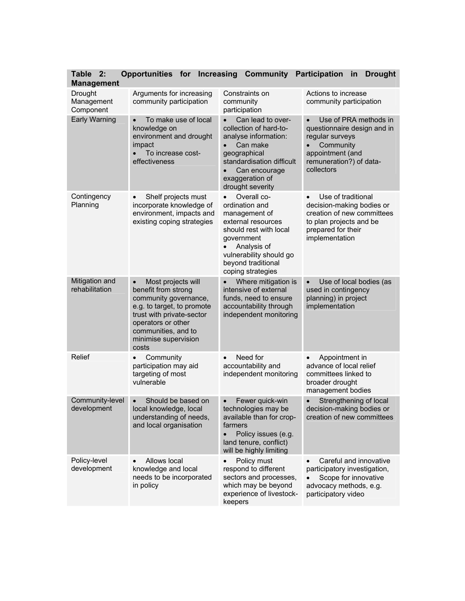| <b>Table</b><br>2:<br><b>Management</b> | <b>Opportunities for</b>                                                                                                                                                                                                 | Increasing<br>Community                                                                                                                                                                                        | <b>Participation</b><br><b>Drought</b><br>in                                                                                                                  |
|-----------------------------------------|--------------------------------------------------------------------------------------------------------------------------------------------------------------------------------------------------------------------------|----------------------------------------------------------------------------------------------------------------------------------------------------------------------------------------------------------------|---------------------------------------------------------------------------------------------------------------------------------------------------------------|
| Drought<br>Management<br>Component      | Arguments for increasing<br>community participation                                                                                                                                                                      | Constraints on<br>community<br>participation                                                                                                                                                                   | Actions to increase<br>community participation                                                                                                                |
| <b>Early Warning</b>                    | To make use of local<br>knowledge on<br>environment and drought<br>impact<br>To increase cost-<br>effectiveness                                                                                                          | Can lead to over-<br>collection of hard-to-<br>analyse information:<br>Can make<br>geographical<br>standardisation difficult<br>Can encourage<br>$\bullet$<br>exaggeration of<br>drought severity              | Use of PRA methods in<br>questionnaire design and in<br>regular surveys<br>Community<br>appointment (and<br>remuneration?) of data-<br>collectors             |
| Contingency<br>Planning                 | Shelf projects must<br>$\bullet$<br>incorporate knowledge of<br>environment, impacts and<br>existing coping strategies                                                                                                   | Overall co-<br>$\bullet$<br>ordination and<br>management of<br>external resources<br>should rest with local<br>government<br>Analysis of<br>vulnerability should go<br>beyond traditional<br>coping strategies | Use of traditional<br>$\bullet$<br>decision-making bodies or<br>creation of new committees<br>to plan projects and be<br>prepared for their<br>implementation |
| Mitigation and<br>rehabilitation        | Most projects will<br>$\bullet$<br>benefit from strong<br>community governance,<br>e.g. to target, to promote<br>trust with private-sector<br>operators or other<br>communities, and to<br>minimise supervision<br>costs | Where mitigation is<br>intensive of external<br>funds, need to ensure<br>accountability through<br>independent monitoring                                                                                      | Use of local bodies (as<br>used in contingency<br>planning) in project<br>implementation                                                                      |
| Relief                                  | Community<br>$\bullet$<br>participation may aid<br>targeting of most<br>vulnerable                                                                                                                                       | Need for<br>$\bullet$<br>accountability and<br>independent monitoring                                                                                                                                          | Appointment in<br>$\bullet$<br>advance of local relief<br>committees linked to<br>broader drought<br>management bodies                                        |
| Community-level<br>development          | Should be based on<br>$\bullet$<br>local knowledge, local<br>understanding of needs,<br>and local organisation                                                                                                           | Fewer quick-win<br>$\bullet$<br>technologies may be<br>available than for crop-<br>farmers<br>Policy issues (e.g.<br>$\bullet$<br>land tenure, conflict)<br>will be highly limiting                            | Strengthening of local<br>decision-making bodies or<br>creation of new committees                                                                             |
| Policy-level<br>development             | Allows local<br>$\bullet$<br>knowledge and local<br>needs to be incorporated<br>in policy                                                                                                                                | Policy must<br>respond to different<br>sectors and processes,<br>which may be beyond<br>experience of livestock-<br>keepers                                                                                    | Careful and innovative<br>participatory investigation,<br>Scope for innovative<br>advocacy methods, e.g.<br>participatory video                               |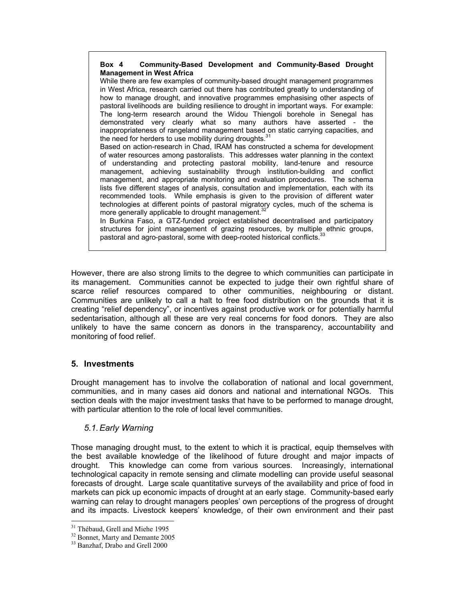#### **Box 4 Community-Based Development and Community-Based Drought Management in West Africa**

While there are few examples of community-based drought management programmes in West Africa, research carried out there has contributed greatly to understanding of how to manage drought, and innovative programmes emphasising other aspects of pastoral livelihoods are building resilience to drought in important ways. For example: The long-term research around the Widou Thiengoli borehole in Senegal has demonstrated very clearly what so many authors have asserted - the inappropriateness of rangeland management based on static carrying capacities, and the need for herders to use mobility during droughts. $31$ 

Based on action-research in Chad, IRAM has constructed a schema for development of water resources among pastoralists. This addresses water planning in the context of understanding and protecting pastoral mobility, land-tenure and resource management, achieving sustainability through institution-building and conflict management, and appropriate monitoring and evaluation procedures. The schema lists five different stages of analysis, consultation and implementation, each with its recommended tools. While emphasis is given to the provision of different water technologies at different points of pastoral migratory cycles, much of the schema is more generally applicable to drought management.<sup>32</sup>

In Burkina Faso, a GTZ-funded project established decentralised and participatory structures for joint management of grazing resources, by multiple ethnic groups, pastoral and agro-pastoral, some with deep-rooted historical conflicts.<sup>3</sup>

However, there are also strong limits to the degree to which communities can participate in its management. Communities cannot be expected to judge their own rightful share of scarce relief resources compared to other communities, neighbouring or distant. Communities are unlikely to call a halt to free food distribution on the grounds that it is creating "relief dependency", or incentives against productive work or for potentially harmful sedentarisation, although all these are very real concerns for food donors. They are also unlikely to have the same concern as donors in the transparency, accountability and monitoring of food relief.

# **5. Investments**

Drought management has to involve the collaboration of national and local government, communities, and in many cases aid donors and national and international NGOs. This section deals with the major investment tasks that have to be performed to manage drought, with particular attention to the role of local level communities.

# *5.1. Early Warning*

Those managing drought must, to the extent to which it is practical, equip themselves with the best available knowledge of the likelihood of future drought and major impacts of drought. This knowledge can come from various sources. Increasingly, international technological capacity in remote sensing and climate modelling can provide useful seasonal forecasts of drought. Large scale quantitative surveys of the availability and price of food in markets can pick up economic impacts of drought at an early stage. Community-based early warning can relay to drought managers peoples' own perceptions of the progress of drought and its impacts. Livestock keepers' knowledge, of their own environment and their past

<sup>&</sup>lt;sup>31</sup> Thébaud, Grell and Miehe 1995

<sup>32</sup> Bonnet, Marty and Demante 2005

<sup>33</sup> Banzhaf, Drabo and Grell 2000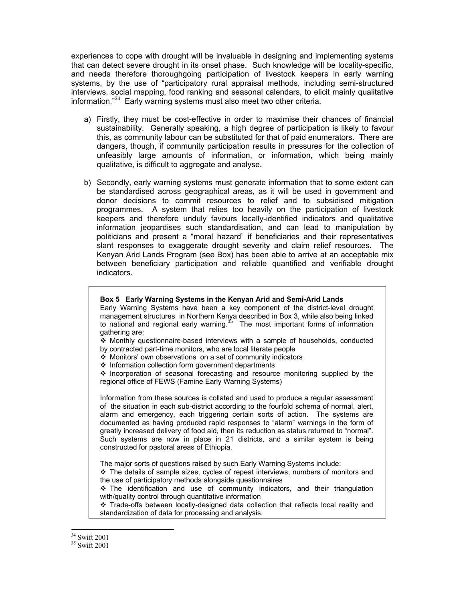experiences to cope with drought will be invaluable in designing and implementing systems that can detect severe drought in its onset phase. Such knowledge will be locality-specific, and needs therefore thoroughgoing participation of livestock keepers in early warning systems, by the use of "participatory rural appraisal methods, including semi-structured interviews, social mapping, food ranking and seasonal calendars, to elicit mainly qualitative information."34 Early warning systems must also meet two other criteria.

- a) Firstly, they must be cost-effective in order to maximise their chances of financial sustainability. Generally speaking, a high degree of participation is likely to favour this, as community labour can be substituted for that of paid enumerators. There are dangers, though, if community participation results in pressures for the collection of unfeasibly large amounts of information, or information, which being mainly qualitative, is difficult to aggregate and analyse.
- b) Secondly, early warning systems must generate information that to some extent can be standardised across geographical areas, as it will be used in government and donor decisions to commit resources to relief and to subsidised mitigation programmes. A system that relies too heavily on the participation of livestock keepers and therefore unduly favours locally-identified indicators and qualitative information jeopardises such standardisation, and can lead to manipulation by politicians and present a "moral hazard" if beneficiaries and their representatives slant responses to exaggerate drought severity and claim relief resources. The Kenyan Arid Lands Program (see Box) has been able to arrive at an acceptable mix between beneficiary participation and reliable quantified and verifiable drought indicators.

#### **Box 5 Early Warning Systems in the Kenyan Arid and Semi-Arid Lands**

Early Warning Systems have been a key component of the district-level drought management structures in Northern Kenya described in Box 3, while also being linked to national and regional early warning. $35$  The most important forms of information gathering are:

 Monthly questionnaire-based interviews with a sample of households, conducted by contracted part-time monitors, who are local literate people

- Monitors' own observations on a set of community indicators
- $\cdot$  Information collection form government departments

 $\triangle$  Incorporation of seasonal forecasting and resource monitoring supplied by the regional office of FEWS (Famine Early Warning Systems)

Information from these sources is collated and used to produce a regular assessment of the situation in each sub-district according to the fourfold schema of normal, alert, alarm and emergency, each triggering certain sorts of action. The systems are documented as having produced rapid responses to "alarm" warnings in the form of greatly increased delivery of food aid, then its reduction as status returned to "normal". Such systems are now in place in 21 districts, and a similar system is being constructed for pastoral areas of Ethiopia.

The major sorts of questions raised by such Early Warning Systems include:

 The details of sample sizes, cycles of repeat interviews, numbers of monitors and the use of participatory methods alongside questionnaires

 $\div$  The identification and use of community indicators, and their triangulation with/quality control through quantitative information

\* Trade-offs between locally-designed data collection that reflects local reality and standardization of data for processing and analysis.

<sup>-</sup>34 Swift 2001

<sup>35</sup> Swift 2001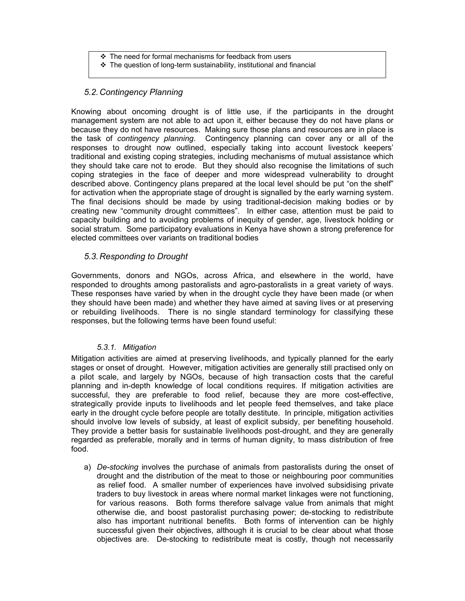- $\div$  The need for formal mechanisms for feedback from users
- $\div$  The question of long-term sustainability, institutional and financial

# *5.2. Contingency Planning*

Knowing about oncoming drought is of little use, if the participants in the drought management system are not able to act upon it, either because they do not have plans or because they do not have resources. Making sure those plans and resources are in place is the task of *contingency planning*. Contingency planning can cover any or all of the responses to drought now outlined, especially taking into account livestock keepers' traditional and existing coping strategies, including mechanisms of mutual assistance which they should take care not to erode. But they should also recognise the limitations of such coping strategies in the face of deeper and more widespread vulnerability to drought described above. Contingency plans prepared at the local level should be put "on the shelf" for activation when the appropriate stage of drought is signalled by the early warning system. The final decisions should be made by using traditional-decision making bodies or by creating new "community drought committees". In either case, attention must be paid to capacity building and to avoiding problems of inequity of gender, age, livestock holding or social stratum. Some participatory evaluations in Kenya have shown a strong preference for elected committees over variants on traditional bodies

# *5.3. Responding to Drought*

Governments, donors and NGOs, across Africa, and elsewhere in the world, have responded to droughts among pastoralists and agro-pastoralists in a great variety of ways. These responses have varied by when in the drought cycle they have been made (or when they should have been made) and whether they have aimed at saving lives or at preserving or rebuilding livelihoods. There is no single standard terminology for classifying these responses, but the following terms have been found useful:

# *5.3.1. Mitigation*

Mitigation activities are aimed at preserving livelihoods, and typically planned for the early stages or onset of drought. However, mitigation activities are generally still practised only on a pilot scale, and largely by NGOs, because of high transaction costs that the careful planning and in-depth knowledge of local conditions requires. If mitigation activities are successful, they are preferable to food relief, because they are more cost-effective, strategically provide inputs to livelihoods and let people feed themselves, and take place early in the drought cycle before people are totally destitute. In principle, mitigation activities should involve low levels of subsidy, at least of explicit subsidy, per benefiting household. They provide a better basis for sustainable livelihoods post-drought, and they are generally regarded as preferable, morally and in terms of human dignity, to mass distribution of free food.

a) *De-stocking* involves the purchase of animals from pastoralists during the onset of drought and the distribution of the meat to those or neighbouring poor communities as relief food. A smaller number of experiences have involved subsidising private traders to buy livestock in areas where normal market linkages were not functioning, for various reasons. Both forms therefore salvage value from animals that might otherwise die, and boost pastoralist purchasing power; de-stocking to redistribute also has important nutritional benefits. Both forms of intervention can be highly successful given their objectives, although it is crucial to be clear about what those objectives are. De-stocking to redistribute meat is costly, though not necessarily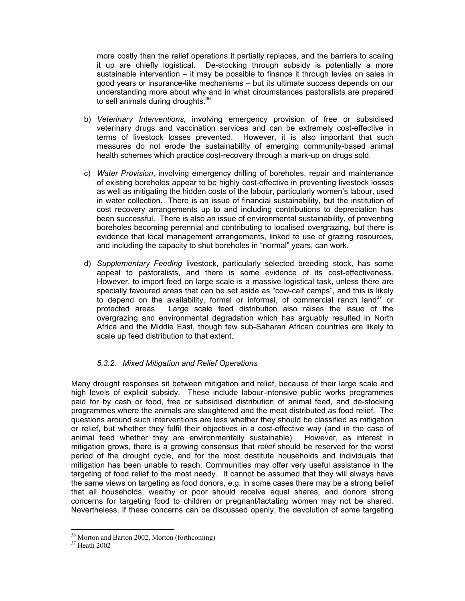more costly than the relief operations it partially replaces, and the barriers to scaling it up are chiefly logistical. De-stocking through subsidy is potentially a more sustainable intervention – it may be possible to finance it through levies on sales in good years or insurance-like mechanisms – but its ultimate success depends on our understanding more about why and in what circumstances pastoralists are prepared to sell animals during droughts.<sup>36</sup>

- b) *Veterinary Interventions,* involving emergency provision of free or subsidised veterinary drugs and vaccination services and can be extremely cost-effective in terms of livestock losses prevented. However, it is also important that such measures do not erode the sustainability of emerging community-based animal health schemes which practice cost-recovery through a mark-up on drugs sold.
- c) *Water Provision*, involving emergency drilling of boreholes, repair and maintenance of existing boreholes appear to be highly cost-effective in preventing livestock losses as well as mitigating the hidden costs of the labour, particularly women's labour, used in water collection. There is an issue of financial sustainability, but the institution of cost recovery arrangements up to and including contributions to depreciation has been successful. There is also an issue of environmental sustainability, of preventing boreholes becoming perennial and contributing to localised overgrazing, but there is evidence that local management arrangements, linked to use of grazing resources, and including the capacity to shut boreholes in "normal" years, can work.
- d) *Supplementary Feeding* livestock, particularly selected breeding stock, has some appeal to pastoralists, and there is some evidence of its cost-effectiveness. However, to import feed on large scale is a massive logistical task, unless there are specially favoured areas that can be set aside as "cow-calf camps", and this is likely to depend on the availability, formal or informal, of commercial ranch land<sup>37</sup> or protected areas. Large scale feed distribution also raises the issue of the overgrazing and environmental degradation which has arguably resulted in North Africa and the Middle East, though few sub-Saharan African countries are likely to scale up feed distribution to that extent.

# *5.3.2. Mixed Mitigation and Relief Operations*

Many drought responses sit between mitigation and relief, because of their large scale and high levels of explicit subsidy. These include labour-intensive public works programmes paid for by cash or food, free or subsidised distribution of animal feed, and de-stocking programmes where the animals are slaughtered and the meat distributed as food relief. The questions around such interventions are less whether they should be classified as mitigation or relief, but whether they fulfil their objectives in a cost-effective way (and in the case of animal feed whether they are environmentally sustainable). However, as interest in mitigation grows, there is a growing consensus that *relief* should be reserved for the worst period of the drought cycle, and for the most destitute households and individuals that mitigation has been unable to reach. Communities may offer very useful assistance in the targeting of food relief to the most needy. It cannot be assumed that they will always have the same views on targeting as food donors, e.g. in some cases there may be a strong belief that all households, wealthy or poor should receive equal shares, and donors strong concerns for targeting food to children or pregnant/lactating women may not be shared. Nevertheless, if these concerns can be discussed openly, the devolution of some targeting

<sup>36</sup> Morton and Barton 2002, Morton (forthcoming)

<sup>37</sup> Heath 2002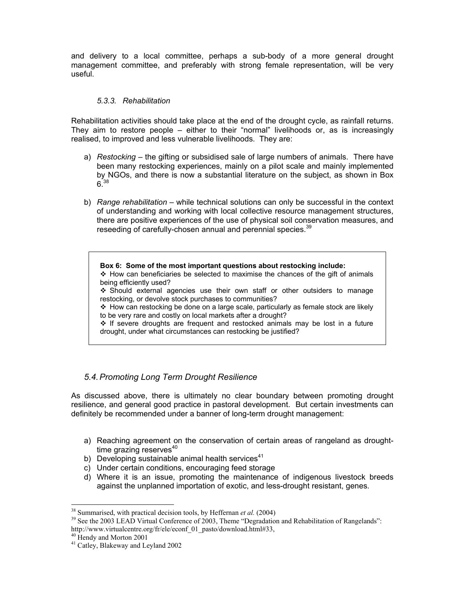and delivery to a local committee, perhaps a sub-body of a more general drought management committee, and preferably with strong female representation, will be very useful.

### *5.3.3. Rehabilitation*

Rehabilitation activities should take place at the end of the drought cycle, as rainfall returns. They aim to restore people – either to their "normal" livelihoods or, as is increasingly realised, to improved and less vulnerable livelihoods. They are:

- a) *Restocking* the gifting or subsidised sale of large numbers of animals. There have been many restocking experiences, mainly on a pilot scale and mainly implemented by NGOs, and there is now a substantial literature on the subject, as shown in Box  $6^{38}$
- b) *Range rehabilitation* while technical solutions can only be successful in the context of understanding and working with local collective resource management structures, there are positive experiences of the use of physical soil conservation measures, and reseeding of carefully-chosen annual and perennial species.<sup>39</sup>

**Box 6: Some of the most important questions about restocking include:**   $\div$  How can beneficiaries be selected to maximise the chances of the gift of animals being efficiently used?  $\div$  Should external agencies use their own staff or other outsiders to manage restocking, or devolve stock purchases to communities?  $\div$  How can restocking be done on a large scale, particularly as female stock are likely to be very rare and costly on local markets after a drought?  $\div$  If severe droughts are frequent and restocked animals may be lost in a future drought, under what circumstances can restocking be justified?

# *5.4. Promoting Long Term Drought Resilience*

As discussed above, there is ultimately no clear boundary between promoting drought resilience, and general good practice in pastoral development. But certain investments can definitely be recommended under a banner of long-term drought management:

- a) Reaching agreement on the conservation of certain areas of rangeland as droughttime grazing reserves $40$
- b) Developing sustainable animal health services $41$
- c) Under certain conditions, encouraging feed storage
- d) Where it is an issue, promoting the maintenance of indigenous livestock breeds against the unplanned importation of exotic, and less-drought resistant, genes.

<sup>&</sup>lt;sup>38</sup> Summarised, with practical decision tools, by Heffernan *et al.* (2004)<br><sup>39</sup> See the 2003 LEAD Virtual Conference of 2003, Theme "Degradation and Rehabilitation of Rangelands": http://www.virtualcentre.org/fr/ele/econf\_01\_pasto/download.html#33,

<sup>40</sup> Hendy and Morton 2001

<sup>41</sup> Catley, Blakeway and Leyland 2002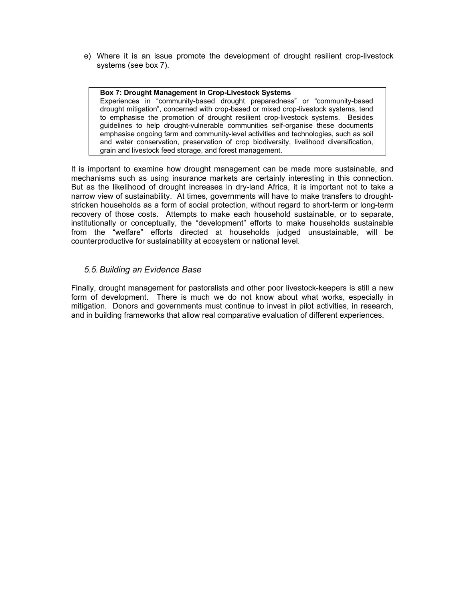e) Where it is an issue promote the development of drought resilient crop-livestock systems (see box 7).

#### **Box 7: Drought Management in Crop-Livestock Systems**

Experiences in "community-based drought preparedness" or "community-based drought mitigation", concerned with crop-based or mixed crop-livestock systems, tend to emphasise the promotion of drought resilient crop-livestock systems. Besides guidelines to help drought-vulnerable communities self-organise these documents emphasise ongoing farm and community-level activities and technologies, such as soil and water conservation, preservation of crop biodiversity, livelihood diversification, grain and livestock feed storage, and forest management.

It is important to examine how drought management can be made more sustainable, and mechanisms such as using insurance markets are certainly interesting in this connection. But as the likelihood of drought increases in dry-land Africa, it is important not to take a narrow view of sustainability. At times, governments will have to make transfers to droughtstricken households as a form of social protection, without regard to short-term or long-term recovery of those costs. Attempts to make each household sustainable, or to separate, institutionally or conceptually, the "development" efforts to make households sustainable from the "welfare" efforts directed at households judged unsustainable, will be counterproductive for sustainability at ecosystem or national level.

# *5.5. Building an Evidence Base*

Finally, drought management for pastoralists and other poor livestock-keepers is still a new form of development. There is much we do not know about what works, especially in mitigation. Donors and governments must continue to invest in pilot activities, in research, and in building frameworks that allow real comparative evaluation of different experiences.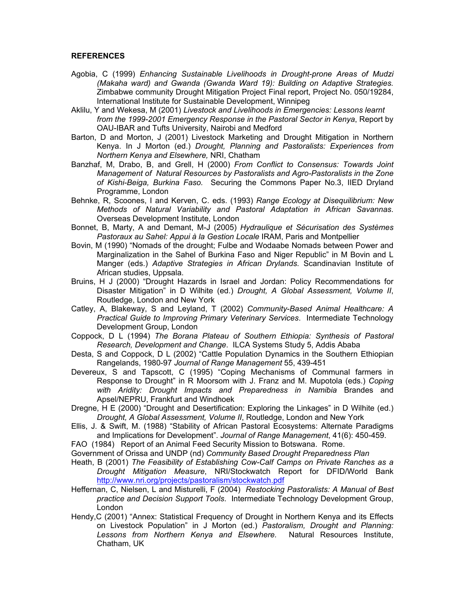#### **REFERENCES**

- Agobia, C (1999) *Enhancing Sustainable Livelihoods in Drought-prone Areas of Mudzi (Makaha ward) and Gwanda (Gwanda Ward 19): Building on Adaptive Strategies.* Zimbabwe community Drought Mitigation Project Final report, Project No. 050/19284, International Institute for Sustainable Development, Winnipeg
- Aklilu, Y and Wekesa, M (2001) *Livestock and Livelihoods in Emergencies: Lessons learnt from the 1999-2001 Emergency Response in the Pastoral Sector in Kenya*, Report by OAU-IBAR and Tufts University, Nairobi and Medford
- Barton, D and Morton, J (2001) Livestock Marketing and Drought Mitigation in Northern Kenya. In J Morton (ed.) *Drought, Planning and Pastoralists: Experiences from Northern Kenya and Elsewhere,* NRI, Chatham
- Banzhaf, M, Drabo, B, and Grell, H (2000) *From Conflict to Consensus: Towards Joint Management of Natural Resources by Pastoralists and Agro-Pastoralists in the Zone of Kishi-Beiga, Burkina Faso.* Securing the Commons Paper No.3, IIED Dryland Programme, London
- Behnke, R, Scoones, I and Kerven, C. eds. (1993) *Range Ecology at Disequilibrium: New Methods of Natural Variability and Pastoral Adaptation in African Savannas*. Overseas Development Institute, London
- Bonnet, B, Marty, A and Demant, M-J (2005) *Hydraulique et Sécurisation des Systèmes Pastoraux au Sahel: Appui à la Gestion Locale* IRAM, Paris and Montpellier
- Bovin, M (1990) "Nomads of the drought; Fulbe and Wodaabe Nomads between Power and Marginalization in the Sahel of Burkina Faso and Niger Republic" in M Bovin and L Manger (eds.) *Adaptive Strategies in African Drylands*. Scandinavian Institute of African studies, Uppsala.
- Bruins, H J (2000) "Drought Hazards in Israel and Jordan: Policy Recommendations for Disaster Mitigation" in D Wilhite (ed.) *Drought, A Global Assessment, Volume II*, Routledge, London and New York
- Catley, A, Blakeway, S and Leyland, T (2002) *Community-Based Animal Healthcare: A Practical Guide to Improving Primary Veterinary Services*. Intermediate Technology Development Group, London
- Coppock, D L (1994) *The Borana Plateau of Southern Ethiopia: Synthesis of Pastoral Research, Development and Change*. ILCA Systems Study 5, Addis Ababa
- Desta, S and Coppock, D L (2002) "Cattle Population Dynamics in the Southern Ethiopian Rangelands, 1980-97 *Journal of Range Management* 55, 439-451
- Devereux, S and Tapscott, C (1995) "Coping Mechanisms of Communal farmers in Response to Drought" in R Moorsom with J. Franz and M. Mupotola (eds.) *Coping with Aridity: Drought Impacts and Preparedness in Namibia* Brandes and Apsel/NEPRU, Frankfurt and Windhoek
- Dregne, H E (2000) "Drought and Desertification: Exploring the Linkages" in D Wilhite (ed.) *Drought, A Global Assessment, Volume II*, Routledge, London and New York
- Ellis, J. & Swift, M. (1988) "Stability of African Pastoral Ecosystems: Alternate Paradigms and Implications for Development". *Journal of Range Management*, 41(6): 450-459.
- FAO (1984) Report of an Animal Feed Security Mission to Botswana. Rome.
- Government of Orissa and UNDP (nd) *Community Based Drought Preparedness Plan*
- Heath, B (2001) *The Feasibility of Establishing Cow-Calf Camps on Private Ranches as a Drought Mitigation Measure*, NRI/Stockwatch Report for DFID/World Bank http://www.nri.org/projects/pastoralism/stockwatch.pdf
- Heffernan, C, Nielsen, L and Misturelli, F (2004) *Restocking Pastoralists: A Manual of Best practice and Decision Support Tools*. Intermediate Technology Development Group, London
- Hendy,C (2001) "Annex: Statistical Frequency of Drought in Northern Kenya and its Effects on Livestock Population" in J Morton (ed.) *Pastoralism, Drought and Planning: Lessons from Northern Kenya and Elsewhere.* Natural Resources Institute, Chatham, UK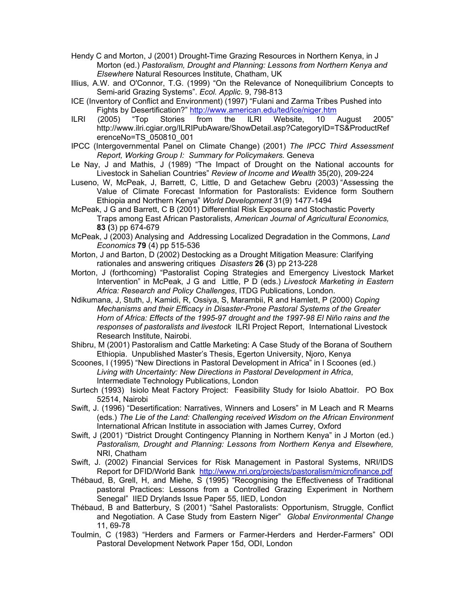- Hendy C and Morton, J (2001) Drought-Time Grazing Resources in Northern Kenya, in J Morton (ed.) *Pastoralism, Drought and Planning: Lessons from Northern Kenya and Elsewhere* Natural Resources Institute, Chatham, UK
- Illius, A.W. and O'Connor, T.G. (1999) "On the Relevance of Nonequilibrium Concepts to Semi-arid Grazing Systems". *Ecol. Applic*. 9, 798-813
- ICE (Inventory of Conflict and Environment) (1997) "Fulani and Zarma Tribes Pushed into Fights by Desertification?" http://www.american.edu/ted/ice/niger.htm
- ILRI (2005) "Top Stories from the ILRI Website, 10 August 2005" http://www.ilri.cgiar.org/ILRIPubAware/ShowDetail.asp?CategoryID=TS&ProductRef erenceNo=TS\_050810\_001
- IPCC (Intergovernmental Panel on Climate Change) (2001) *The IPCC Third Assessment Report, Working Group I: Summary for Policymakers.* Geneva
- Le Nay, J and Mathis, J (1989) "The Impact of Drought on the National accounts for Livestock in Sahelian Countries" *Review of Income and Wealth* 35(20), 209-224
- Luseno, W, McPeak, J, Barrett, C, Little, D and Getachew Gebru (2003) "Assessing the Value of Climate Forecast Information for Pastoralists: Evidence form Southern Ethiopia and Northern Kenya" *World Development* 31(9) 1477-1494
- McPeak, J G and Barrett, C B (2001) Differential Risk Exposure and Stochastic Poverty Traps among East African Pastoralists, *American Journal of Agricultural Economics,*  **83 (**3) pp 674-679
- McPeak, J (2003) Analysing and Addressing Localized Degradation in the Commons, *Land Economics* **79** (4) pp 515-536
- Morton, J and Barton, D (2002) Destocking as a Drought Mitigation Measure: Clarifying rationales and answering critiques *Disasters* **26 (**3) pp 213-228
- Morton, J (forthcoming) "Pastoralist Coping Strategies and Emergency Livestock Market Intervention" in McPeak, J G and Little, P D (eds.) *Livestock Marketing in Eastern Africa: Research and Policy Challenges*, ITDG Publications, London.
- Ndikumana, J, Stuth, J, Kamidi, R, Ossiya, S, Marambii, R and Hamlett, P (2000) *Coping Mechanisms and their Efficacy in Disaster-Prone Pastoral Systems of the Greater Horn of Africa: Effects of the 1995-97 drought and the 1997-98 El Niño rains and the responses of pastoralists and livestock* ILRI Project Report, International Livestock Research Institute, Nairobi.
- Shibru, M (2001) Pastoralism and Cattle Marketing: A Case Study of the Borana of Southern Ethiopia. Unpublished Master's Thesis, Egerton University, Njoro, Kenya
- Scoones, I (1995) "New Directions in Pastoral Development in Africa" in I Scoones (ed.) *Living with Uncertainty: New Directions in Pastoral Development in Africa*, Intermediate Technology Publications, London
- Surtech (1993) Isiolo Meat Factory Project: Feasibility Study for Isiolo Abattoir. PO Box 52514, Nairobi
- Swift, J. (1996) "Desertification: Narratives, Winners and Losers" in M Leach and R Mearns (eds.) *The Lie of the Land: Challenging received Wisdom on the African Environment* International African Institute in association with James Currey, Oxford
- Swift, J (2001) "District Drought Contingency Planning in Northern Kenya" in J Morton (ed.) *Pastoralism, Drought and Planning: Lessons from Northern Kenya and Elsewhere,*  NRI, Chatham
- Swift, J. (2002) Financial Services for Risk Management in Pastoral Systems, NRI/IDS Report for DFID/World Bank http://www.nri.org/projects/pastoralism/microfinance.pdf
- Thébaud, B, Grell, H, and Miehe, S (1995) "Recognising the Effectiveness of Traditional pastoral Practices: Lessons from a Controlled Grazing Experiment in Northern Senegal" IIED Drylands Issue Paper 55, IIED, London
- Thébaud, B and Batterbury, S (2001) "Sahel Pastoralists: Opportunism, Struggle, Conflict and Negotiation. A Case Study from Eastern Niger" *Global Environmental Change*  11, 69-78
- Toulmin, C (1983) "Herders and Farmers or Farmer-Herders and Herder-Farmers" ODI Pastoral Development Network Paper 15d, ODI, London